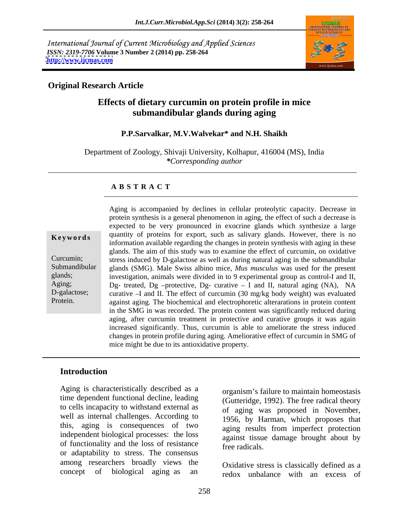International Journal of Current Microbiology and Applied Sciences *ISSN: 2319-7706* **Volume 3 Number 2 (2014) pp. 258-264 <http://www.ijcmas.com>**



## **Original Research Article**

## **Effects of dietary curcumin on protein profile in mice submandibular glands during aging**

### **P.P.Sarvalkar, M.V.Walvekar\* and N.H. Shaikh**

Department of Zoology, Shivaji University, Kolhapur, 416004 (MS), India *\*Corresponding author* 

#### **A B S T R A C T**

**Keywords** quantity of proteins for export, such as salivary giants. However, there is no<br>information available regarding the changes in protein synthesis with aging in these Curcumin; stress induced by D-galactose as well as during natural aging in the submandibular Submandibular glands (SMG). Male Swiss albino mice, *Mus musculus* was used for the present glands; investigation, animals were divided in to 9 experimental group as control-I and II, Aging;  $Dg$ - treated,  $Dg$ -protective,  $Dg$ - curative  $-I$  and II, natural aging (NA), NA D-galactose; curative -I and II. The effect of curcumin (30 mg/kg body weight) was evaluated Protein. against aging. The biochemical and electrophoretic alterarations in protein content Aging is accompanied by declines in cellular proteolytic capacity. Decrease in protein synthesis is a general phenomenon in aging, the effect of such a decrease is expected to be very pronounced in exocrine glands which synthesize a large quantity of proteins for export, such as salivary glands. However, there is no glands. The aim of this study was to examine the effect of curcumin, on oxidative in the SMG in was recorded. The protein content was significantly reduced during aging, after curcumin treatment in protective and curative groups it was again increased significantly. Thus, curcumin is able to ameliorate the stress induced changes in protein profile during aging. Ameliorative effect of curcumin in SMG of mice might be due to its antioxidative property.

### **Introduction**

Aging is characteristically described as a time dependent functional decline, leading to cells incapacity to withstand external as well as internal challenges. According to this, aging is consequences of two independent biological processes: the loss of functionality and the loss of resistance free radicals or adaptability to stress. The consensus among researchers broadly views the

organism's failure to maintain homeostasis (Gutteridge, 1992). The free radical theory of aging was proposed in November, 1956, by Harman, which proposes that aging results from imperfect protection against tissue damage brought about by free radicals.

concept of biological aging as an redox unbalance with an excess of Oxidative stress is classically defined as a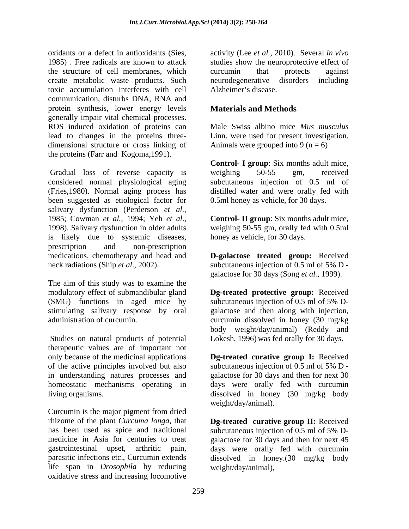oxidants or a defect in antioxidants (Sies, activity (Lee *et al.,* 2010). Several *in vivo* 1985) . Free radicals are known to attack studies show the neuroprotective effect of the structure of cell membranes, which create metabolic waste products. Such toxic accumulation interferes with cell communication, disturbs DNA, RNA and protein synthesis, lower energy levels generally impair vital chemical processes. ROS induced oxidation of proteins can lead to changes in the proteins three dimensional structure or cross linking of the proteins (Farr and Kogoma,1991).

Gradual loss of reverse capacity is weighing 50-55 gm, received considered normal physiological aging (Fries,1980). Normal aging process has distilled water and were orally fed with been suggested as etiological factor for salivary dysfunction (Perderson *et al.*,<br>1985; Cowman *et al.*, 1994; Yeh *et al.*, **Control- II group**: Six months adult mice,<br>1998). Salivary dysfunction in older adults weighing 50-55 gm, orally fed with 0.5ml is likely due to systemic diseases, prescription and non-prescription medications, chemotherapy and head and **D-galactose treated group:** Received neck radiations (Ship *et al*., 2002). subcutaneous injection of 0.5 ml of 5% D -

The aim of this study was to examine the modulatory effect of submandibular gland **Dg-treated protective group:** Received (SMG) functions in aged mice by subcutaneous injection of  $0.5$  ml of  $5\%$  Dstimulating salivary response by oral galactose and then along with injection, administration of curcumin. curcumin dissolved in honey (30 mg/kg

Studies on natural products of potential therapeutic values are of important not only because of the medicinal applications **Dg-treated curative group I:** Received of the active principles involved but also in understanding natures processes and galactose for 30 days and then for next 30 homeostatic mechanisms operating in days were orally fed with curcumin

Curcumin is the major pigment from dried rhizome of the plant *Curcuma longa,* that **Dg-treated curative group II:** Received has been used as spice and traditional subcutaneous injection of 0.5 ml of 5% Dmedicine in Asia for centuries to treat galactose for 30 days and then for next 45 gastrointestinal upset, arthritic pain, days were orally fed with curcumin parasitic infections etc., Curcumin extends dissolved in honey.(30 mg/kg body life span in *Drosophila* by reducing oxidative stress and increasing locomotive

curcumin that protects against neurodegenerative disorders including Alzheimer's disease.

## **Materials and Methods**

Male Swiss albino mice *Mus musculus* Linn. were used for present investigation. Animals were grouped into 9 ( $n = 6$ )

**Control- I group**: Six months adult mice, weighing 50-55 gm, received subcutaneous injection of 0.5 ml of 0.5ml honey as vehicle, for 30 days.

**Control- II group**: Six months adult mice, weighing 50-55 gm, orally fed with 0.5ml honey as vehicle, for 30 days.

galactose for 30 days (Song *et al.,* 1999).

subcutaneous injection of 0.5 ml of 5% D body weight/day/animal) (Reddy and Lokesh, 1996) was fed orally for 30 days.

living organisms. dissolved in honey (30 mg/kg body subcutaneous injection of 0.5 ml of 5% D weight/day/animal).

weight/day/animal),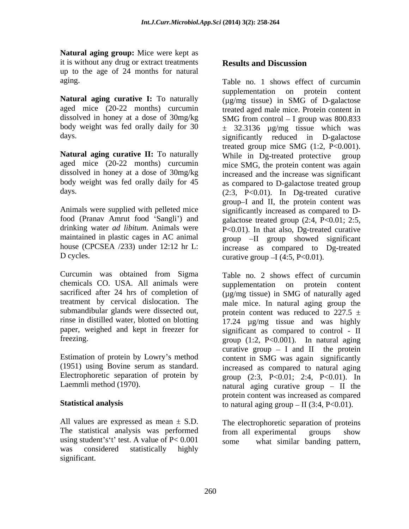**Natural aging group:** Mice were kept as it is without any drug or extract treatments **Results and Discussion** up to the age of 24 months for natural

**Natural aging curative I:** To naturally body weight was fed orally daily for 30

food (Pranav Amrut food 'Sangli') and

chemicals CO. USA. All animals were supplementation on protein content submandibular glands were dissected out,

Estimation of protein by Lowry's method

All values are expressed as mean  $\pm$  S.D. The statistical analysis was performed from all experimental groups show using student's 't' test. A value of  $P < 0.001$  some what similar banding pattern, was considered statistically highly significant.

# **Results and Discussion**

aging. Table no. 1 shows effect of curcumin aged mice (20-22 months) curcumin treated aged male mice. Protein content in dissolved in honey at a dose of 30mg/kg SMG from control - I group was 800.833 days. significantly reduced in D-galactose **Natural aging curative II:** To naturally While in Dg-treated protective group aged mice (20-22 months) curcumin mice SMG, the protein content was again dissolved in honey at a dose of 30mg/kg increased and the increase was significant body weight was fed orally daily for 45 as compared to D-galactose treated group days. (2:3, P<0.01). In Dg-treated curative Animals were supplied with pelleted mice significantly increased as compared to D drinking water *ad libitum.* Animals were P<0.01). In that also, Dg-treated curative maintained in plastic cages in AC animal group -II group showed significant house (CPCSEA /233) under 12:12 hr L: increase as compared to Dg-treated D cycles.  $\Box$  curative group  $-I(4:5, P<0.01)$ . supplementation on protein content (µg/mg tissue) in SMG of D-galactose  $\pm$  32.3136  $\mu$ g/mg tissue which was treated group mice SMG  $(1:2, P<0.001)$ . group I and II, the protein content was galactose treated group  $(2:4, P<0.01; 2:5,$ 

Curcumin was obtained from Sigma Table no. 2 shows effect of curcumin sacrificed after 24 hrs of completion of  $(\mu g/mg)$  tissue) in SMG of naturally aged treatment by cervical dislocation. The male mice. In natural aging group the rinse in distilled water, blotted on blotting 17.24 µg/mg tissue and was highly paper, weighed and kept in freezer for significant as compared to control - II freezing. group (1:2, P<0.001). In natural aging (1951) using Bovine serum as standard. increased as compared to natural aging Electrophoretic separation of protein by  $\qquad \qquad \text{group} \quad (2:3, \quad P<0.01; \quad 2:4, \quad P<0.01).$  In Laemmli method (1970).  $\qquad \qquad$  natural aging curative group  $-$  II the **Statistical analysis** to natural aging group  $-$  II (3:4, P<0.01). supplementation on protein content protein content was reduced to 227.5  $\pm$ curative group  $- I$  and II the protein content in SMG was again significantly protein content was increased as compared

> The electrophoretic separation of proteins from all experimental groups show some what similar banding pattern,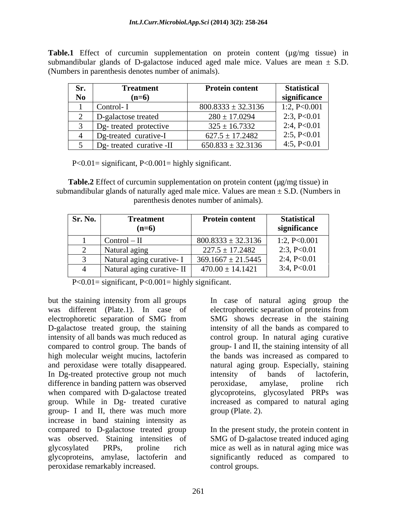**Table.1** Effect of curcumin supplementation on protein content ( $\mu$ g/mg tissue) in submandibular glands of D-galactose induced aged male mice. Values are mean  $\pm$  S.D. (Numbers in parenthesis denotes number of animals).

| Sr.            | Treatment                     | <b>Protein content</b> | <b>Statistical</b> |
|----------------|-------------------------------|------------------------|--------------------|
| N <sub>0</sub> | $(n=6)$                       |                        | significance       |
|                | Control-1                     | $800.8333 \pm 32.3136$ | 1:2, $P<0.001$     |
|                | D-galactose treated           | $280 \pm 17.0294$      | 2:3, P<0.01        |
|                | Dg- treated protective        | $325 \pm 16.7332$      | 2:4, P<0.01        |
|                | Dg-treated curative-I         | $627.5 \pm 17.2482$    | 2:5, P<0.01        |
|                | treated curative -II<br>$Dg-$ | $650.833 \pm 32.3136$  | 4:5, $P<0.01$      |

P<0.01= significant, P<0.001= highly significant.

**Table.2** Effect of curcumin supplementation on protein content ( $\mu$ g/mg tissue) in submandibular glands of naturally aged male mice. Values are mean  $\pm$  S.D. (Numbers in parenthesis denotes number of animals).

| Sr. No. | <b>Treatment</b><br>$(n=6)$ | <b>Protein content</b> | <b>Statistical</b><br>significance |
|---------|-----------------------------|------------------------|------------------------------------|
|         |                             |                        |                                    |
|         | $Control - II$              | $800.8333 \pm 32.3136$ | $\therefore$ 2, P<0.001            |
|         | Natural aging               | $227.5 \pm 17.2482$    | 2:3, P<0.01                        |
|         | Natural aging curative- I   | $369.1667 \pm 21.5445$ | 2:4, $P<0.01$                      |
|         | Natural aging curative-II   | $470.00 \pm 14.1421$   | 3:4, P<0.01                        |

P<0.01= significant, P<0.001= highly significant.

but the staining intensity from all groups In case of natural aging group the was different (Plate.1). In case of electrophoretic separation of proteins from electrophoretic separation of SMG from SMG shows decrease in the staining D-galactose treated group, the staining intensity of all the bands as compared to intensity of all bands was much reduced as control group. In natural aging curative compared to control group. The bands of group- I and II, the staining intensity of all high molecular weight mucins, lactoferin the bands was increased as compared to and peroxidase were totally disappeared. natural aging group. Especially, staining In Dg-treated protective group not much intensity of bands of lactoferin, difference in banding pattern was observed peroxidase, amylase, proline rich when compared with D-galactose treated glycoproteins, glycosylated PRPs was group. While in Dg- treated curative group- I and II, there was much more increase in band staining intensity as compared to D-galactose treated group In the present study, the protein content in was observed. Staining intensities of SMG of D-galactose treated induced aging glycosylated PRPs, proline rich mice as well as in natural aging mice was glycoproteins, amylase, lactoferin and significantly reduced as compared to peroxidase remarkably increased.

electrophoretic separation of proteins from intensity of bands of lactoferin, peroxidase, amylase, proline rich increased as compared to natural aging group (Plate. 2).

control groups.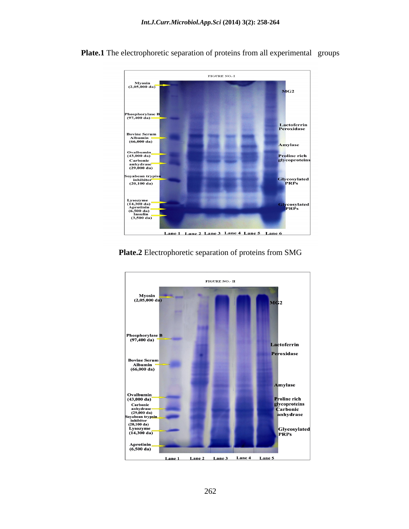

Plate.1 The electrophoretic separation of proteins from all experimental groups

**Plate.2** Electrophoretic separation of proteins from SMG

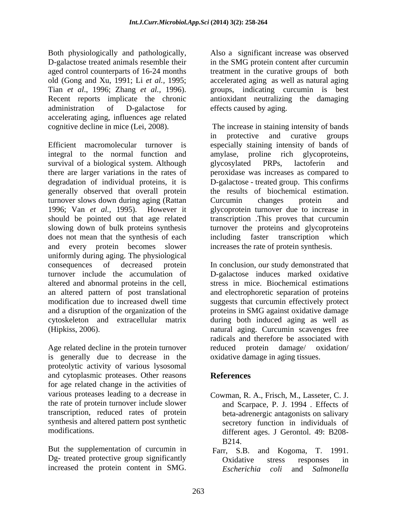Both physiologically and pathologically, Also a significant increase was observed D-galactose treated animals resemble their in the SMG protein content after curcumin aged control counterparts of 16-24 months treatment in the curative groups of both old (Gong and Xu, 1991; Li *et al.,* 1995; accelerated aging as well as natural aging Tian *et al*., 1996; Zhang *et al.,* 1996). groups, indicating curcumin is best Recent reports implicate the chronic antioxidant neutralizing the damaging administration of D-galactose for effects caused by aging. accelerating aging, influences age related

Efficient macromolecular turnover is especially staining intensity of bands of integral to the normal function and amylase, proline rich glycoproteins, survival of a biological system. Although survival property and general system and survival of a biological system. Although survival property and  $\alpha$ there are larger variations in the rates of peroxidase was increases as compared to degradation of individual proteins, it is D-galactose - treated group. This confirms generally observed that overall protein the results of biochemical estimation. turnover slows down during aging (Rattan Curcumin changes protein and 1996; Van *et al.,* 1995). However it glycoprotein turnover due to increase in should be pointed out that age related transcription .This proves that curcumin slowing down of bulk proteins synthesis turnover the proteins and glycoproteins does not mean that the synthesis of each including faster transcription which and every protein becomes slower uniformly during aging. The physiological consequences of decreased protein turnover include the accumulation of altered and abnormal proteins in the cell, an altered pattern of post translational modification due to increased dwell time suggests that curcumin effectively protect and a disruption of the organization of the proteins in SMG against oxidative damage cytoskeleton and extracellular matrix during both induced aging as well as (Hipkiss, 2006). natural aging. Curcumin scavenges free For thy viological proton in the scale is the proton of the proton of the proton of the proton of the content increase was observed to our content in the content in the content in the content in the content in the content

Age related decline in the protein turnover reduced protein damage/ oxidation/ is generally due to decrease in the proteolytic activity of various lysosomal and cytoplasmic proteases. Other reasons for age related change in the activities of various proteases leading to a decrease in Cowman, R. A., Frisch, M., Lasseter, C. J. the rate of protein turnover include slower and Scarpace, P. J. 1994 . Effects of transcription, reduced rates of protein beta-adrenergic antagonists on salivary synthesis and altered pattern post synthetic

But the supplementation of curcumin in Farr, S.B. and Kogoma, T. 1991. Dg- treated protective group significantly<br>increased the protein content in SMG.<br>Fscherichia coli and Salmonella

cognitive decline in mice (Lei, 2008). The increase in staining intensity of bands in protective and curative groups glycosylated PRPs, lactoferin and Curcumin changes protein and including faster transcription which increases the rate of protein synthesis.

> In conclusion, our study demonstrated that D-galactose induces marked oxidative stress in mice. Biochemical estimations and electrophoretic separation of proteins radicals and therefore be associated with reduced protein damage/ oxidative damage in aging tissues.

## **References**

- modifications. different ages. J Gerontol. 49: B208- Cowman, R. A., Frisch, M., Lasseter, C. J. and Scarpace, P. J. 1994 . Effects of secretory function in individuals of B214.
	- Farr, S.B. and Kogoma, T. 1991. Oxidative stress responses in *Escherichia coli* and *Salmonella*